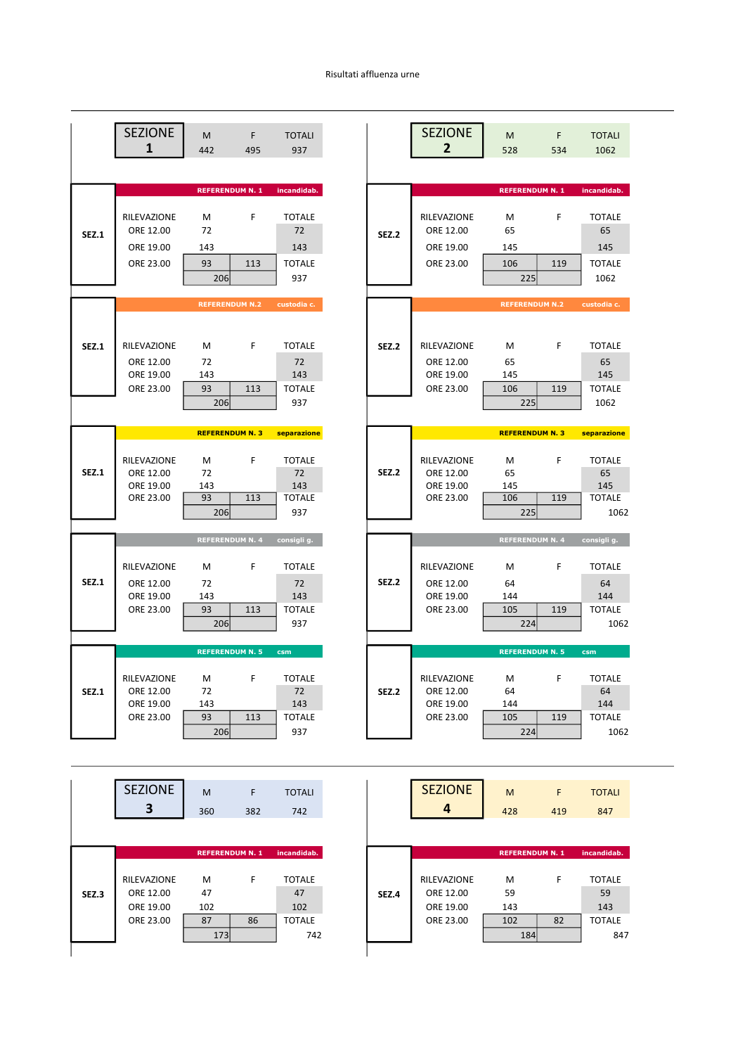## Risultati affluenza urne

|              | <b>SEZIONE</b><br>1    | M<br>442               | F<br>495 | <b>TOTALI</b><br>937 |
|--------------|------------------------|------------------------|----------|----------------------|
|              |                        | <b>REFERENDUM N. 1</b> |          | incandidab.          |
|              |                        |                        |          |                      |
|              | RILEVAZIONE            | М                      | F        | <b>TOTALE</b>        |
| <b>SEZ.1</b> | ORE 12.00              | 72                     |          | 72                   |
|              | ORE 19.00              | 143                    |          | 143                  |
|              | ORE 23.00              | 93                     | 113      | <b>TOTALE</b>        |
|              |                        | 206                    |          | 937                  |
|              |                        |                        |          |                      |
|              |                        | <b>REFERENDUM N.2</b>  |          | custodia c.          |
|              |                        |                        |          |                      |
| <b>SEZ.1</b> | RILEVAZIONE            | M                      | F        | <b>TOTALE</b>        |
|              | ORE 12.00              | 72                     |          | 72                   |
|              | ORE 19.00              | 143                    |          | 143                  |
|              | ORE 23.00              | 93                     | 113      | <b>TOTALE</b>        |
|              |                        | 206                    |          | 937                  |
|              |                        |                        |          |                      |
|              |                        |                        |          |                      |
|              |                        | <b>REFERENDUM N. 3</b> |          | separazione          |
|              |                        |                        |          |                      |
|              | RILEVAZIONE            | м                      | F        | <b>TOTALE</b>        |
| <b>SEZ.1</b> | ORE 12.00              | 72                     |          | 72                   |
|              | ORE 19.00<br>ORE 23.00 | 143<br>93              | 113      | 143<br><b>TOTALE</b> |
|              |                        | 206                    |          | 937                  |
|              |                        |                        |          |                      |
|              |                        | <b>REFERENDUM N. 4</b> |          | consigli g.          |
|              | RILEVAZIONE            | M                      | F        | <b>TOTALE</b>        |
| <b>SEZ.1</b> | ORE 12.00              | 72                     |          | 72                   |
|              | ORE 19.00              | 143                    |          | 143                  |
|              | ORE 23.00              | 93                     | 113      | <b>TOTALE</b>        |
|              |                        | 206                    |          | 937                  |
|              |                        |                        |          |                      |
|              |                        | <b>REFERENDUM N. 5</b> |          | csm                  |
|              | RILEVAZIONE            | M                      | F        | <b>TOTALE</b>        |
| <b>SEZ.1</b> | ORE 12.00              | 72                     |          | 72                   |
|              | ORE 19.00              | 143                    |          | 143                  |
|              | ORE 23.00              | 93                     | 113      | <b>TOTALE</b><br>937 |

|       | <b>SEZIONE</b>                        | M<br>360               | F<br>382 | <b>TOTALI</b><br>742       |  |
|-------|---------------------------------------|------------------------|----------|----------------------------|--|
|       |                                       | <b>REFERENDUM N. 1</b> |          | incandidab.                |  |
| SEZ.3 | RILEVAZIONE<br>ORE 12.00<br>ORE 19.00 | м<br>47<br>102         | F        | <b>TOTALE</b><br>47<br>102 |  |
|       | ORE 23.00                             | 87<br>173              | 86       | <b>TOTALE</b><br>742       |  |

| <b>SEZIONE</b> | M                      | F   | <b>TOTALI</b>        |              | <b>SEZIONE</b> | M                      | F   | <b>TOTALI</b>         |
|----------------|------------------------|-----|----------------------|--------------|----------------|------------------------|-----|-----------------------|
| 1              | 442                    | 495 | 937                  |              | 2              | 528                    | 534 | 1062                  |
|                |                        |     |                      |              |                |                        |     |                       |
|                | <b>REFERENDUM N. 1</b> |     | incandidab.          |              |                | <b>REFERENDUM N. 1</b> |     | incandidab.           |
|                |                        |     |                      |              |                |                        |     |                       |
| RILEVAZIONE    | м                      | F   | <b>TOTALE</b>        |              | RILEVAZIONE    | М                      | F   | <b>TOTALE</b>         |
| ORE 12.00      | 72                     |     | 72                   | <b>SEZ.2</b> | ORE 12.00      | 65                     |     | 65                    |
| ORE 19.00      | 143                    |     | 143                  |              | ORE 19.00      | 145                    |     | 145                   |
| ORE 23.00      | 93                     | 113 | <b>TOTALE</b>        |              | ORE 23.00      | 106                    | 119 | <b>TOTALE</b>         |
|                | 206                    |     | 937                  |              |                | 225                    |     | 1062                  |
|                |                        |     |                      |              |                |                        |     |                       |
|                | <b>REFERENDUM N.2</b>  |     | custodia c.          |              |                | <b>REFERENDUM N.2</b>  |     | custodia c.           |
|                |                        |     |                      |              |                |                        |     |                       |
| RILEVAZIONE    | M                      | F   | <b>TOTALE</b>        | <b>SEZ.2</b> | RILEVAZIONE    | M                      | F   | <b>TOTALE</b>         |
| ORE 12.00      | 72                     |     | 72                   |              | ORE 12.00      | 65                     |     | 65                    |
| ORE 19.00      | 143                    |     | 143                  |              | ORE 19.00      | 145                    |     | 145                   |
| ORE 23.00      | 93                     | 113 | <b>TOTALE</b>        |              | ORE 23.00      | 106                    | 119 | <b>TOTALE</b>         |
|                | 206                    |     | 937                  |              |                | 225                    |     | 1062                  |
|                |                        |     |                      |              |                |                        |     |                       |
|                | <b>REFERENDUM N. 3</b> |     | separazione          |              |                | <b>REFERENDUM N. 3</b> |     | separazione           |
| RILEVAZIONE    | M                      | F   | <b>TOTALE</b>        |              | RILEVAZIONE    | М                      | F   | <b>TOTALE</b>         |
| ORE 12.00      | 72                     |     | 72                   | <b>SEZ.2</b> | ORE 12.00      | 65                     |     | 65                    |
| ORE 19.00      | 143                    |     | 143                  |              | ORE 19.00      | 145                    |     | 145                   |
| ORE 23.00      | 93                     | 113 | <b>TOTALE</b>        |              | ORE 23.00      | 106                    | 119 | <b>TOTALE</b>         |
|                | 206                    |     | 937                  |              |                | 225                    |     | 1062                  |
|                | <b>REFERENDUM N. 4</b> |     | consigli g.          |              |                | <b>REFERENDUM N. 4</b> |     | consigli g.           |
|                |                        |     |                      |              |                |                        |     |                       |
| RILEVAZIONE    | M                      | F   | <b>TOTALE</b>        |              | RILEVAZIONE    | М                      | F   | <b>TOTALE</b>         |
| ORE 12.00      | 72                     |     | 72                   | <b>SEZ.2</b> | ORE 12.00      | 64                     |     | 64                    |
| ORE 19.00      | 143                    |     | 143                  |              | ORE 19.00      | 144                    |     | 144                   |
| ORE 23.00      | 93                     | 113 | <b>TOTALE</b>        |              | ORE 23.00      | 105                    | 119 | <b>TOTALE</b>         |
|                | 206                    |     | 937                  |              |                | 224                    |     | 1062                  |
|                | <b>REFERENDUM N. 5</b> |     | csm                  |              |                | <b>REFERENDUM N. 5</b> |     | csm                   |
|                |                        |     |                      |              |                |                        |     |                       |
| RILEVAZIONE    | М                      | F   | <b>TOTALE</b>        |              | RILEVAZIONE    | M                      | F   | <b>TOTALE</b>         |
| ORE 12.00      | 72                     |     | 72                   | <b>SEZ.2</b> | ORE 12.00      | 64                     |     | 64                    |
| ORE 19.00      | 143<br>93              |     | 143                  |              | ORE 19.00      | 144                    |     | 144                   |
| ORE 23.00      | 206                    | 113 | <b>TOTALE</b><br>937 |              | ORE 23.00      | 105<br>224             | 119 | <b>TOTALE</b><br>1062 |
|                |                        |     |                      |              |                |                        |     |                       |

| <b>SEZIONE</b> | M                      | F   | <b>TOTALI</b> |       | <b>SEZIONE</b> | M                      | F   |             |
|----------------|------------------------|-----|---------------|-------|----------------|------------------------|-----|-------------|
| 3              | 360                    | 382 | 742           |       | 4              | 428                    | 419 |             |
|                |                        |     |               |       |                |                        |     |             |
|                | <b>REFERENDUM N. 1</b> |     | incandidab.   |       |                | <b>REFERENDUM N. 1</b> |     | incandidab. |
|                |                        |     |               |       |                |                        |     |             |
| RILEVAZIONE    | M                      | F   | <b>TOTALE</b> |       | RILEVAZIONE    | M                      | F   |             |
| ORE 12.00      | 47                     |     | 47            | SEZ.4 | ORE 12.00      | 59                     |     |             |
| ORE 19.00      | 102                    |     | 102           |       | ORE 19.00      | 143                    |     |             |
| ORE 23.00      | 87                     | 86  | <b>TOTALE</b> |       | ORE 23.00      | 102                    | 82  |             |
|                | 173                    |     | 742           |       |                | 184                    |     |             |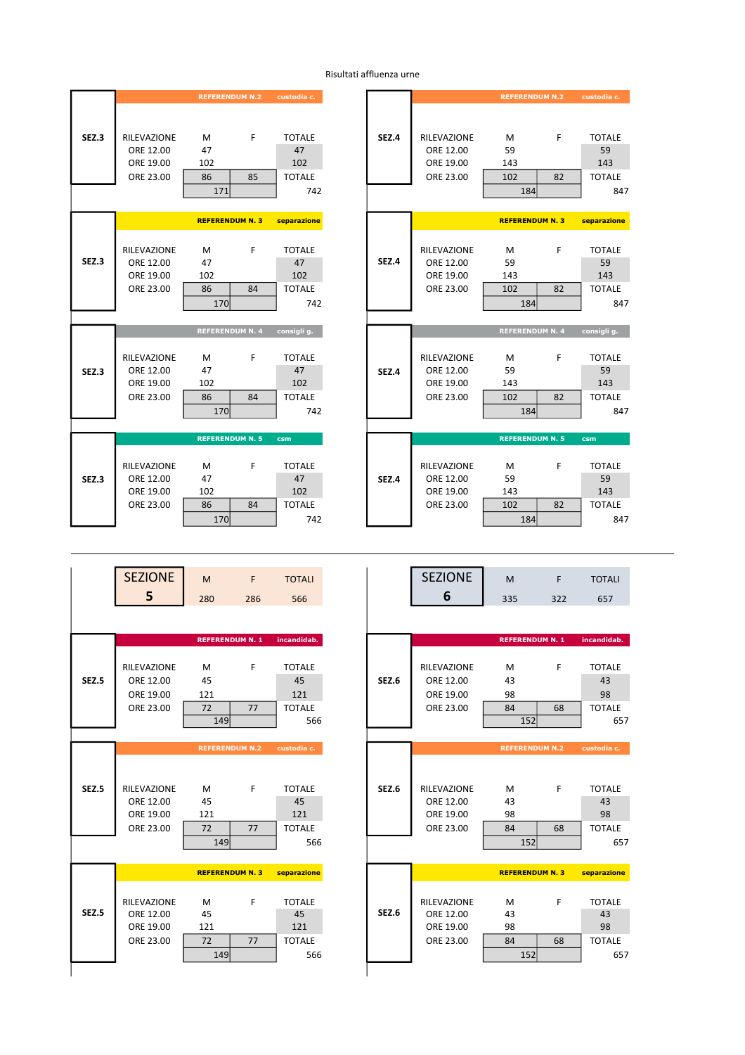|       |                                                    | <b>REFERENDUM N.2</b>              | custodia c.                                                    |       |                                                    | <b>REFERENDUM N.2</b>        |         | custodia c.                                        |
|-------|----------------------------------------------------|------------------------------------|----------------------------------------------------------------|-------|----------------------------------------------------|------------------------------|---------|----------------------------------------------------|
| SEZ.3 | RILEVAZIONE<br>ORE 12.00<br>ORE 19.00<br>ORE 23.00 | M<br>47<br>102<br>86<br>171        | F<br><b>TOTALE</b><br>47<br>102<br>85<br><b>TOTALE</b><br>742  | SEZ.4 | RILEVAZIONE<br>ORE 12.00<br>ORE 19.00<br>ORE 23.00 | M<br>59<br>143<br>102<br>184 | F<br>82 | <b>TOTALE</b><br>59<br>143<br><b>TOTALE</b><br>847 |
|       |                                                    | <b>REFERENDUM N. 3</b>             | separazione                                                    |       |                                                    | <b>REFERENDUM N. 3</b>       |         | separazione                                        |
| SEZ.3 | RILEVAZIONE<br>ORE 12.00<br>ORE 19.00<br>ORE 23.00 | M<br>47<br>102<br>86<br>170        | F.<br><b>TOTALE</b><br>47<br>102<br><b>TOTALE</b><br>84<br>742 | SEZ.4 | RILEVAZIONE<br>ORE 12.00<br>ORE 19.00<br>ORE 23.00 | M<br>59<br>143<br>102<br>184 | F<br>82 | <b>TOTALE</b><br>59<br>143<br><b>TOTALE</b><br>847 |
|       |                                                    | <b>REFERENDUM N. 4</b>             | consigli g.                                                    |       |                                                    | <b>REFERENDUM N. 4</b>       |         | consigli g.                                        |
| SEZ.3 | RILEVAZIONE<br>ORE 12.00<br>ORE 19.00<br>ORE 23.00 | M<br>47<br>102<br>86<br><b>170</b> | F.<br><b>TOTALE</b><br>47<br>102<br><b>TOTALE</b><br>84<br>742 | SEZ.4 | RILEVAZIONE<br>ORE 12.00<br>ORE 19.00<br>ORE 23.00 | M<br>59<br>143<br>102<br>184 | F<br>82 | <b>TOTALE</b><br>59<br>143<br><b>TOTALE</b><br>847 |
|       |                                                    |                                    |                                                                |       |                                                    |                              |         |                                                    |
|       |                                                    | <b>REFERENDUM N. 5</b>             | csm                                                            |       |                                                    | <b>REFERENDUM N. 5</b>       |         | csm                                                |
| SEZ.3 | RILEVAZIONE<br>ORE 12.00<br>ORE 19.00<br>ORE 23.00 | M<br>47<br>102<br>86<br>170        | F.<br><b>TOTALE</b><br>47<br>102<br>84<br><b>TOTALE</b><br>742 | SEZ.4 | RILEVAZIONE<br>ORE 12.00<br>ORE 19.00<br>ORE 23.00 | M<br>59<br>143<br>102<br>184 | F<br>82 | <b>TOTALE</b><br>59<br>143<br><b>TOTALE</b><br>847 |

|                    | <b>REFERENDUM N.2</b>  |    | custodia c.   |              |             | <b>REFERENDUM N.2</b>  |    | custodia c.   |
|--------------------|------------------------|----|---------------|--------------|-------------|------------------------|----|---------------|
|                    |                        |    |               |              |             |                        |    |               |
| <b>RILEVAZIONE</b> | M                      | F  | <b>TOTALE</b> | <b>SEZ.4</b> | RILEVAZIONE | M                      | F  | <b>TOTALE</b> |
| ORE 12.00          | 47                     |    | 47            |              | ORE 12.00   | 59                     |    | 59            |
| ORE 19.00          | 102                    |    | 102           |              | ORE 19.00   | 143                    |    | 143           |
| ORE 23.00          | 86                     | 85 | <b>TOTALE</b> |              | ORE 23.00   | 102                    | 82 | <b>TOTALE</b> |
|                    | 171                    |    | 742           |              |             | 184                    |    | 847           |
|                    |                        |    |               |              |             |                        |    |               |
|                    | <b>REFERENDUM N. 3</b> |    | separazione   |              |             | <b>REFERENDUM N. 3</b> |    | separazione   |
|                    |                        |    |               |              |             |                        |    |               |
| RILEVAZIONE        | M                      | F  | <b>TOTALE</b> |              | RILEVAZIONE | M                      | F  | <b>TOTALE</b> |
| ORE 12.00          | 47                     |    | 47            | SEZ.4        | ORE 12.00   | 59                     |    | 59            |
| ORE 19.00          | 102                    |    | 102           |              | ORE 19.00   | 143                    |    | 143           |
| ORE 23.00          | 86                     | 84 | <b>TOTALE</b> |              | ORE 23.00   | 102                    | 82 | <b>TOTALE</b> |
|                    | 170                    |    | 742           |              |             | 184                    |    | 847           |
|                    | <b>REFERENDUM N. 4</b> |    | consigli g.   |              |             | <b>REFERENDUM N. 4</b> |    | consigli q.   |
|                    |                        |    |               |              |             |                        |    |               |
| <b>RILEVAZIONE</b> | M                      | F  | <b>TOTALE</b> |              | RILEVAZIONE | M                      | F  | <b>TOTALE</b> |
| ORE 12.00          | 47                     |    | 47            | SEZ.4        | ORE 12.00   | 59                     |    | 59            |
| ORE 19.00          | 102                    |    | 102           |              | ORE 19.00   | 143                    |    | 143           |
| ORE 23.00          | 86                     | 84 | <b>TOTALE</b> |              | ORE 23.00   | 102                    | 82 | <b>TOTALE</b> |
|                    | 170                    |    | 742           |              |             | 184                    |    | 847           |
|                    |                        |    |               |              |             |                        |    |               |
|                    | <b>REFERENDUM N. 5</b> |    | csm           |              |             | <b>REFERENDUM N. 5</b> |    | csm           |
|                    |                        |    |               |              |             |                        |    |               |
| RILEVAZIONE        | M                      | F  | <b>TOTALE</b> |              | RILEVAZIONE | м                      | F  | <b>TOTALE</b> |
| ORE 12.00          | 47                     |    | 47            | <b>SEZ.4</b> | ORE 12.00   | 59                     |    | 59            |
| ORE 19.00          | 102                    |    | 102           |              | ORE 19.00   | 143                    |    | 143           |
| ORE 23.00          | 86<br>امحي             | 84 | <b>TOTALE</b> |              | ORE 23.00   | 102                    | 82 | <b>TOTALE</b> |
|                    |                        |    | 712           |              |             | 101                    |    | 0.47          |

| <b>IONE</b> | M   |     | TOTALI | <b>IONE</b> | M   |     | )TALI |
|-------------|-----|-----|--------|-------------|-----|-----|-------|
| 5           | 280 | 286 | 566    |             | 335 | ے ے | 657   |

|                    | <b>REFERENDUM N. 1</b> |    | incandidab.   |              |             | <b>REFERENDUM N. 1</b> |    | incandidab.   |
|--------------------|------------------------|----|---------------|--------------|-------------|------------------------|----|---------------|
|                    |                        |    |               |              |             |                        |    |               |
| <b>RILEVAZIONE</b> | M                      | F  | <b>TOTALE</b> |              | RILEVAZIONE | M                      | F  | <b>TOTALE</b> |
| ORE 12.00          | 45                     |    | 45            | <b>SEZ.6</b> | ORE 12.00   | 43                     |    | 43            |
| ORE 19.00          | 121                    |    | 121           |              | ORE 19.00   | 98                     |    | 98            |
| ORE 23.00          | 72                     | 77 | <b>TOTALE</b> |              | ORE 23.00   | 84                     | 68 | <b>TOTALE</b> |
|                    | <b>149</b>             |    | 566           |              |             | 152                    |    | 657           |
|                    |                        |    |               |              |             |                        |    |               |
|                    | <b>REFERENDUM N.2</b>  |    | custodia c.   |              |             | <b>REFERENDUM N.2</b>  |    | custodia c.   |
|                    |                        |    |               |              |             |                        |    |               |
|                    |                        |    |               |              |             |                        |    |               |
| <b>RILEVAZIONE</b> | M                      | F  | <b>TOTALE</b> | <b>SEZ.6</b> | RILEVAZIONE | M                      | F  | <b>TOTALE</b> |
| ORE 12.00          | 45                     |    | 45            |              | ORE 12.00   | 43                     |    | 43            |
| ORE 19.00          | 121                    |    | 121           |              | ORE 19.00   | 98                     |    | 98            |
| ORE 23.00          | 72                     | 77 | <b>TOTALE</b> |              | ORE 23.00   | 84                     | 68 | <b>TOTALE</b> |
|                    | <b>149</b>             |    | 566           |              |             | 152                    |    | 657           |
|                    |                        |    |               |              |             |                        |    |               |
|                    | <b>REFERENDUM N. 3</b> |    | separazione   |              |             | <b>REFERENDUM N. 3</b> |    | separazione   |
|                    |                        |    |               |              |             |                        |    |               |
| <b>RILEVAZIONE</b> | M                      | F  | <b>TOTALE</b> |              | RILEVAZIONE | M                      | F  | <b>TOTALE</b> |
| ORE 12.00          | 45                     |    | 45            | <b>SEZ.6</b> | ORE 12.00   | 43                     |    | 43            |
| ORE 19.00          | 121                    |    | 121           |              | ORE 19.00   | 98                     |    | 98            |
| ORE 23.00          | 72                     | 77 | <b>TOTALE</b> |              | ORE 23.00   | 84                     | 68 | <b>TOTALE</b> |
|                    | <b>149</b>             |    | 566           |              |             | 152                    |    | 657           |

|              | <b>SEZIONE</b>                        | M                      | F.                    | <b>TOTALI</b>              |
|--------------|---------------------------------------|------------------------|-----------------------|----------------------------|
|              | 5                                     | 280                    | 286                   | 566                        |
|              |                                       |                        |                       |                            |
|              |                                       | <b>REFERENDUM N. 1</b> |                       | incandidab.                |
|              |                                       |                        |                       |                            |
|              | RILEVAZIONE                           | M                      | F                     | <b>TOTALE</b>              |
| <b>SEZ.5</b> | ORE 12.00                             | 45                     |                       | 45                         |
|              | ORE 19.00                             | 121                    |                       | 121                        |
|              | ORE 23.00                             | 72                     | 77                    | <b>TOTALE</b>              |
|              |                                       | 149                    |                       | 566                        |
|              |                                       |                        |                       |                            |
|              |                                       |                        | <b>REFERENDUM N.2</b> | custodia c.                |
| <b>SEZ.5</b> | RILEVAZIONE<br>ORE 12.00              | M<br>45                | F                     | <b>TOTALE</b><br>45        |
|              | ORE 19.00                             | 121                    |                       | 121                        |
|              | ORE 23.00                             | 72                     | 77                    | <b>TOTALE</b>              |
|              |                                       | 149                    |                       | 566                        |
|              |                                       | <b>REFERENDUM N.3</b>  |                       | separazione                |
| <b>SEZ.5</b> | RILEVAZIONE<br>ORE 12.00<br>ORE 19.00 | M<br>45<br>121         | F                     | <b>TOTALE</b><br>45<br>121 |
|              | ORE 23.00                             | 72                     | 77                    | <b>TOTALE</b>              |
|              |                                       | 149                    |                       | 566                        |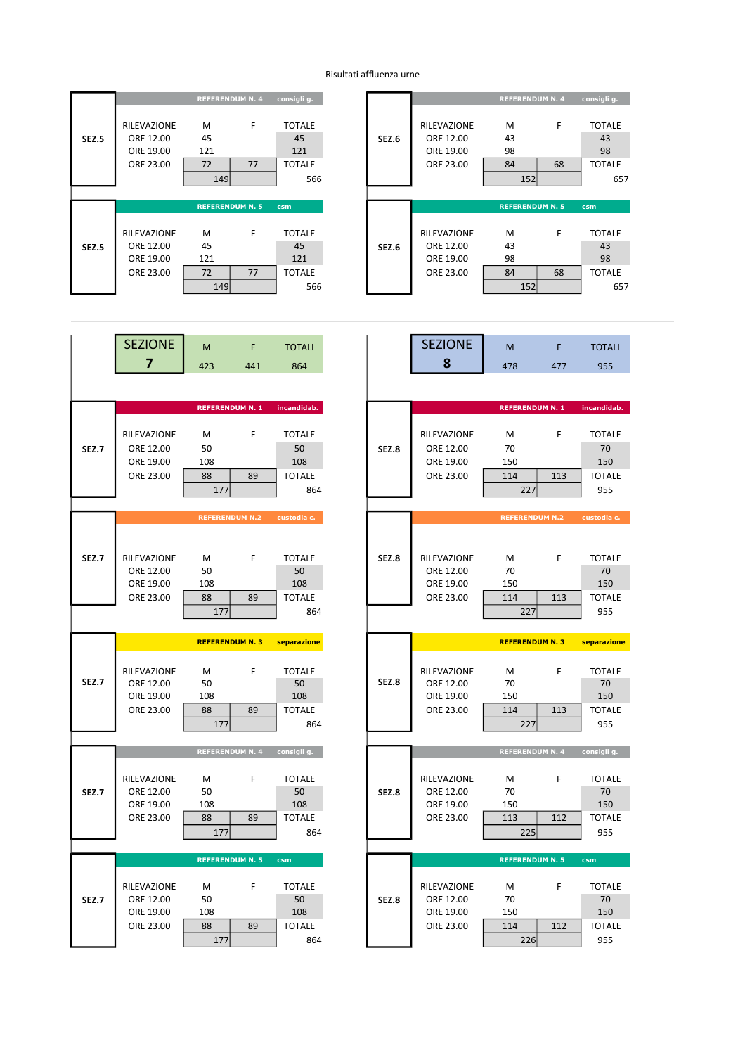## Risultati affluenza urne

|       |                    | <b>REFERENDUM N. 4</b> |    | consigli g.     |
|-------|--------------------|------------------------|----|-----------------|
|       | <b>RILEVAZIONE</b> | м                      | F  | <b>TOTALE</b>   |
| SEZ.5 | ORE 12.00          | 45                     |    | 45              |
|       | ORE 19.00          | 121                    |    | 121             |
|       | ORE 23.00          | 72                     | 77 | <b>TOTALE</b>   |
|       |                    | 149                    |    | 566             |
|       |                    |                        |    |                 |
|       |                    | <b>REFERENDUM N. 5</b> |    | c <sub>sm</sub> |
|       |                    |                        |    |                 |
|       |                    |                        |    |                 |
|       | RILEVAZIONE        | м                      | F  | <b>TOTALE</b>   |
| SEZ.5 | ORE 12.00          | 45                     |    | 45              |
|       | ORE 19.00          | 121                    |    | 121             |
|       | ORE 23.00          | 72                     | 77 | <b>TOTALE</b>   |

|                                                    |                      | <b>REFERENDUM N. 4</b> | consigli g.                                 |              |                                                           | <b>REFERENDUM N. 4</b> |         | consigli g.                                |
|----------------------------------------------------|----------------------|------------------------|---------------------------------------------|--------------|-----------------------------------------------------------|------------------------|---------|--------------------------------------------|
| RILEVAZIONE<br>ORE 12.00<br>ORE 19.00<br>ORE 23.00 | м<br>45<br>121<br>72 | F<br>77                | <b>TOTALE</b><br>45<br>121<br><b>TOTALE</b> | <b>SEZ.6</b> | <b>RILEVAZIONE</b><br>ORE 12.00<br>ORE 19.00<br>ORE 23.00 | M<br>43<br>98<br>84    | F<br>68 | <b>TOTALE</b><br>43<br>98<br><b>TOTALE</b> |
|                                                    | <b>149</b>           |                        | 566                                         |              |                                                           | 152                    |         | 657                                        |
|                                                    |                      |                        |                                             |              |                                                           |                        |         |                                            |
|                                                    |                      | <b>REFERENDUM N. 5</b> | csm                                         |              |                                                           | <b>REFERENDUM N. 5</b> |         | csm                                        |
| <b>RILEVAZIONE</b><br>ORE 12.00<br>ORE 19.00       | M<br>45<br>121       | F                      | <b>TOTALE</b><br>45<br>121                  | <b>SEZ.6</b> | <b>RILEVAZIONE</b><br>ORE 12.00<br>ORE 19.00              | M<br>43<br>98          | F       | <b>TOTALE</b><br>43<br>98                  |
| ORE 23.00                                          | 72                   | 77                     | <b>TOTALE</b>                               |              | ORE 23.00                                                 | 84                     | 68      | <b>TOTALE</b>                              |
|                                                    | 149                  |                        | 566                                         |              |                                                           | 152                    |         | 657                                        |

|              | <b>SEZIONE</b> | M                      | F.                     | <b>TOTALI</b> |
|--------------|----------------|------------------------|------------------------|---------------|
|              | 7              | 423                    | 441                    | 864           |
|              |                |                        |                        |               |
|              |                |                        | <b>REFERENDUM N. 1</b> | incandidab.   |
|              |                |                        |                        |               |
|              | RILEVAZIONE    | M                      | F                      | <b>TOTALE</b> |
| <b>SEZ.7</b> | ORE 12.00      | 50                     |                        | 50            |
|              | ORE 19.00      | 108                    |                        | 108           |
|              | ORE 23.00      | 88                     | 89                     | <b>TOTALE</b> |
|              |                | 177                    |                        | 864           |
|              |                |                        |                        |               |
|              |                |                        | <b>REFERENDUM N.2</b>  | custodia c.   |
|              |                |                        |                        |               |
| <b>SEZ.7</b> | RILEVAZIONE    | M                      | F                      | <b>TOTALE</b> |
|              | ORE 12.00      | 50                     |                        | 50            |
|              | ORE 19.00      | 108                    |                        | 108           |
|              | ORE 23.00      | 88                     | 89                     | <b>TOTALE</b> |
|              |                | 177                    |                        | 864           |
|              |                |                        |                        |               |
|              |                | <b>REFERENDUM N. 3</b> |                        | separazione   |
|              |                |                        |                        |               |
|              | RILEVAZIONE    | М                      | F                      | <b>TOTALE</b> |
| <b>SEZ.7</b> | ORE 12.00      | 50                     |                        | 50            |
|              | ORE 19.00      | 108                    |                        | 108           |
|              | ORE 23.00      | 88                     | 89                     | <b>TOTALE</b> |
|              |                | 177                    |                        | 864           |
|              |                |                        |                        |               |
|              |                |                        | <b>REFERENDUM N. 4</b> | consigli g.   |
|              | RILEVAZIONE    | M                      | F                      | <b>TOTALE</b> |
| <b>SEZ.7</b> | ORE 12.00      | 50                     |                        | 50            |
|              | ORE 19.00      | 108                    |                        | 108           |
|              | ORE 23.00      | 88                     | 89                     | <b>TOTALE</b> |
|              |                | 177                    |                        | 864           |
|              |                |                        |                        |               |
|              |                | <b>REFERENDUM N. 5</b> |                        | csm           |
|              | RILEVAZIONE    | м                      | F                      | <b>TOTALE</b> |
| <b>SEZ.7</b> | ORE 12.00      | 50                     |                        | 50            |
|              |                |                        |                        |               |
|              | ORE 19.00      | 108                    |                        | 108           |
|              | ORE 23.00      | 88                     | 89                     | <b>TOTALE</b> |

| <b>SEZIONE</b>         | M                      | F   | <b>TOTALI</b>        |              | <b>SEZIONE</b>         | M                      | F   | <b>TOTALI</b>        |
|------------------------|------------------------|-----|----------------------|--------------|------------------------|------------------------|-----|----------------------|
| 7                      | 423                    | 441 | 864                  |              | 8                      | 478                    | 477 | 955                  |
|                        |                        |     |                      |              |                        |                        |     |                      |
|                        | <b>REFERENDUM N. 1</b> |     | incandidab.          |              |                        | <b>REFERENDUM N. 1</b> |     | incandidab.          |
|                        |                        |     |                      |              |                        |                        |     |                      |
| RILEVAZIONE            | M                      | F   | <b>TOTALE</b>        |              | RILEVAZIONE            | M                      | F   | <b>TOTALE</b>        |
| ORE 12.00              | 50                     |     | 50                   | <b>SEZ.8</b> | ORE 12.00              | 70                     |     | 70                   |
| ORE 19.00              | 108                    |     | 108                  |              | ORE 19.00              | 150                    |     | 150                  |
| ORE 23.00              | 88                     | 89  | <b>TOTALE</b>        |              | ORE 23.00              | 114                    | 113 | <b>TOTALE</b>        |
|                        | 177                    |     | 864                  |              |                        | 227                    |     | 955                  |
|                        |                        |     |                      |              |                        |                        |     |                      |
|                        | <b>REFERENDUM N.2</b>  |     | custodia c.          |              |                        | <b>REFERENDUM N.2</b>  |     | custodia c.          |
|                        |                        |     |                      |              |                        |                        |     |                      |
| RILEVAZIONE            | м                      | F   | <b>TOTALE</b>        | <b>SEZ.8</b> | RILEVAZIONE            | M                      | F   | <b>TOTALE</b>        |
| ORE 12.00              | 50                     |     | 50                   |              | ORE 12.00              | 70                     |     | 70                   |
| ORE 19.00              | 108                    |     | 108                  |              | ORE 19.00              | 150                    |     | 150                  |
| ORE 23.00              | 88                     | 89  | <b>TOTALE</b>        |              | ORE 23.00              | 114                    | 113 | <b>TOTALE</b>        |
|                        | 177                    |     | 864                  |              |                        | 227                    |     | 955                  |
|                        |                        |     |                      |              |                        |                        |     |                      |
|                        | <b>REFERENDUM N. 3</b> |     | separazione          |              |                        | <b>REFERENDUM N. 3</b> |     | separazione          |
|                        |                        |     |                      |              |                        |                        |     |                      |
| RILEVAZIONE            | M                      | F   | <b>TOTALE</b>        |              | RILEVAZIONE            | M                      | F   | <b>TOTALE</b>        |
| ORE 12.00              | 50                     |     | 50                   | SEZ.8        | ORE 12.00              | 70                     |     | 70                   |
| ORE 19.00<br>ORE 23.00 | 108<br>88              | 89  | 108<br><b>TOTALE</b> |              | ORE 19.00<br>ORE 23.00 | 150<br>114             | 113 | 150<br><b>TOTALE</b> |
|                        | 177                    |     | 864                  |              |                        | 227                    |     | 955                  |
|                        |                        |     |                      |              |                        |                        |     |                      |
|                        | <b>REFERENDUM N. 4</b> |     | consigli g.          |              |                        | <b>REFERENDUM N. 4</b> |     | consigli g.          |
|                        |                        |     |                      |              |                        |                        |     |                      |
| RILEVAZIONE            | M                      | F   | <b>TOTALE</b>        |              | RILEVAZIONE            | M                      | F   | <b>TOTALE</b>        |
| ORE 12.00<br>ORE 19.00 | 50<br>108              |     | 50<br>108            | <b>SEZ.8</b> | ORE 12.00<br>ORE 19.00 | 70<br>150              |     | 70<br>150            |
| ORE 23.00              | 88                     | 89  | <b>TOTALE</b>        |              | ORE 23.00              | 113                    | 112 | <b>TOTALE</b>        |
|                        | 177                    |     | 864                  |              |                        | 225                    |     | 955                  |
|                        |                        |     |                      |              |                        |                        |     |                      |
|                        | <b>REFERENDUM N. 5</b> |     | csm                  |              |                        | <b>REFERENDUM N. 5</b> |     | csm                  |
|                        |                        |     |                      |              |                        |                        |     |                      |
| RILEVAZIONE            | M                      | F   | <b>TOTALE</b>        |              | RILEVAZIONE            | M<br>70                | F   | <b>TOTALE</b>        |
| ORE 12.00<br>ORE 19.00 | 50<br>108              |     | 50<br>108            | <b>SEZ.8</b> | ORE 12.00<br>ORE 19.00 | 150                    |     | 70<br>150            |
| ORE 23.00              | 88                     | 89  | <b>TOTALE</b>        |              | ORE 23.00              | 114                    | 112 | <b>TOTALE</b>        |
|                        | 177                    |     | 864                  |              |                        | 226                    |     | 955                  |
|                        |                        |     |                      |              |                        |                        |     |                      |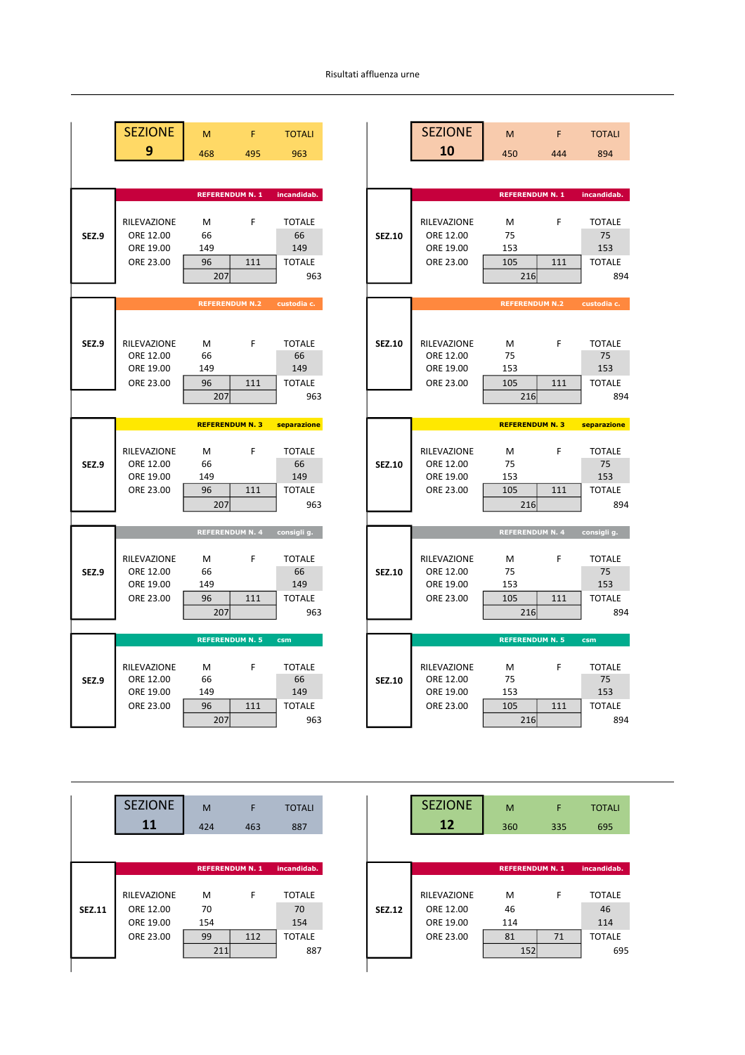## Risultati affluenza urne

| <b>SEZIONE</b>           | M                      | F   | <b>TOTALI</b>        |               | <b>SEZIONE</b>           | M                      | F   |               |
|--------------------------|------------------------|-----|----------------------|---------------|--------------------------|------------------------|-----|---------------|
| 9                        | 468                    | 495 | 963                  |               | 10                       | 450                    | 444 |               |
|                          |                        |     |                      |               |                          |                        |     |               |
|                          | <b>REFERENDUM N. 1</b> |     | incandidab.          |               |                          | <b>REFERENDUM N. 1</b> |     | incandidab.   |
| RILEVAZIONE              | M                      | F   | <b>TOTALE</b>        |               | RILEVAZIONE              | M                      | F   |               |
| ORE 12.00                | 66                     |     | 66                   | <b>SEZ.10</b> | ORE 12.00                | 75                     |     |               |
| ORE 19.00                | 149                    |     | 149                  |               | ORE 19.00                | 153                    |     |               |
| ORE 23.00                | 96                     | 111 | <b>TOTALE</b>        |               | ORE 23.00                | 105                    | 111 |               |
|                          | 207                    |     | 963                  |               |                          | 216                    |     |               |
|                          | <b>REFERENDUM N.2</b>  |     | custodia c.          |               |                          | <b>REFERENDUM N.2</b>  |     | custodia c.   |
|                          |                        |     |                      |               |                          |                        |     |               |
| RILEVAZIONE              | M                      | F   | <b>TOTALE</b>        | <b>SEZ.10</b> | RILEVAZIONE              | М                      | F   |               |
| ORE 12.00                | 66                     |     | 66                   |               | ORE 12.00                | 75                     |     |               |
| ORE 19.00                | 149                    |     | 149                  |               | ORE 19.00                | 153                    |     |               |
| ORE 23.00                | 96<br>207              | 111 | <b>TOTALE</b><br>963 |               | ORE 23.00                | 105<br>216             | 111 | <b>TOTALE</b> |
|                          |                        |     |                      |               |                          |                        |     |               |
|                          | <b>REFERENDUM N. 3</b> |     | separazione          |               |                          | <b>REFERENDUM N. 3</b> |     | separazione   |
|                          |                        |     | <b>TOTALE</b>        |               |                          |                        | F   |               |
|                          |                        | F   |                      |               |                          |                        |     |               |
| RILEVAZIONE<br>ORE 12.00 | M<br>66                |     | 66                   | <b>SEZ.10</b> | RILEVAZIONE<br>ORE 12.00 | M<br>75                |     |               |
| ORE 19.00                | 149                    |     | 149                  |               | ORE 19.00                | 153                    |     |               |
| ORE 23.00                | 96                     | 111 | <b>TOTALE</b>        |               | ORE 23.00                | 105                    | 111 |               |
|                          | 207                    |     | 963                  |               |                          | 216                    |     |               |
|                          | <b>REFERENDUM N. 4</b> |     | consigli g.          |               |                          | <b>REFERENDUM N. 4</b> |     |               |
| RILEVAZIONE              | M                      | F   | <b>TOTALE</b>        |               | RILEVAZIONE              | M                      | F   | consigli g.   |
| ORE 12.00                | 66                     |     | 66                   | <b>SEZ.10</b> | ORE 12.00                | 75                     |     |               |
| ORE 19.00                | 149                    |     | 149                  |               | ORE 19.00                | 153                    |     |               |
| ORE 23.00                | 96                     | 111 | <b>TOTALE</b>        |               | ORE 23.00                | 105                    | 111 |               |
|                          | 207                    |     | 963                  |               |                          | 216                    |     |               |
|                          | <b>REFERENDUM N. 5</b> |     | csm                  |               |                          | <b>REFERENDUM N. 5</b> |     |               |
| RILEVAZIONE              | M                      | F   | <b>TOTALE</b>        |               | RILEVAZIONE              | М                      | F   |               |
| ORE 12.00                | 66                     |     | 66                   | <b>SEZ.10</b> | ORE 12.00                | 75                     |     |               |
| ORE 19.00                | 149                    |     | 149                  |               | ORE 19.00                | 153                    |     |               |
| ORE 23.00                | 96<br>207              | 111 | <b>TOTALE</b><br>963 |               | ORE 23.00                | 105<br>216             | 111 | csm           |

|              | <b>SEZIONE</b>                                     | M                      | F                      | <b>TOTALI</b>                               |  |
|--------------|----------------------------------------------------|------------------------|------------------------|---------------------------------------------|--|
|              | 9                                                  | 468                    | 495                    | 963                                         |  |
|              |                                                    |                        |                        |                                             |  |
|              |                                                    | <b>REFERENDUM N. 1</b> |                        | incandidab.                                 |  |
| SEZ.9        | RILEVAZIONE<br>ORE 12.00<br>ORE 19.00<br>ORE 23.00 | Μ<br>66<br>149<br>96   | F<br>111               | <b>TOTALE</b><br>66<br>149<br><b>TOTALE</b> |  |
|              |                                                    | 207                    |                        | 963                                         |  |
|              |                                                    |                        |                        |                                             |  |
|              |                                                    | <b>REFERENDUM N.2</b>  |                        | custodia c.                                 |  |
| SEZ.9        | RILEVAZIONE<br>ORE 12.00                           | M<br>66                | F                      | <b>TOTALE</b><br>66                         |  |
|              | ORE 19.00<br>ORE 23.00                             | 149<br>96              | 111                    | 149<br><b>TOTALE</b>                        |  |
|              |                                                    | 207                    |                        | 963                                         |  |
|              |                                                    |                        |                        |                                             |  |
|              |                                                    | <b>REFERENDUM N. 3</b> |                        | separazione                                 |  |
| <b>SEZ.9</b> | RILEVAZIONE<br>ORE 12.00<br>ORE 19.00<br>ORE 23.00 | Μ<br>66<br>149<br>96   | F<br>111               | <b>TOTALE</b><br>66<br>149<br><b>TOTALE</b> |  |
|              |                                                    | 207                    |                        | 963                                         |  |
|              |                                                    |                        |                        |                                             |  |
|              |                                                    |                        | <b>REFERENDUM N. 4</b> | consigli g.                                 |  |
| SEZ.9        | RILEVAZIONE<br>ORE 12.00<br>ORE 19.00              | М<br>66<br>149         | F                      | <b>TOTALE</b><br>66<br>149                  |  |
|              | ORE 23.00                                          | 96                     |                        |                                             |  |
|              |                                                    |                        | 111                    | <b>TOTALE</b>                               |  |
|              |                                                    | 207                    |                        | 963                                         |  |
|              |                                                    |                        |                        |                                             |  |
|              |                                                    | <b>REFERENDUM N. 5</b> |                        | csm                                         |  |
| SEZ.9        | RILEVAZIONE<br>ORE 12.00<br>ORE 19.00              | Μ<br>66<br>149         | F                      | <b>TOTALE</b><br>66<br>149                  |  |

|               | <b>SEZIONE</b><br>11 | M<br>424 | F<br>463               | <b>TOTALI</b><br>887 |
|---------------|----------------------|----------|------------------------|----------------------|
|               |                      |          |                        |                      |
|               |                      |          | <b>REFERENDUM N. 1</b> | incandidab.          |
|               |                      |          |                        |                      |
|               | <b>RILEVAZIONE</b>   | м        | F                      | <b>TOTALE</b>        |
| <b>SEZ.11</b> | ORE 12.00            | 70       |                        | 70                   |
|               | ORE 19.00            | 154      |                        | 154                  |
|               | ORE 23.00            | 99       | 112                    | <b>TOTALE</b>        |
|               |                      | 211      |                        | 887                  |

| <b>SEZIONE</b><br>11   | M<br>424               | F<br>463 | <b>TOTALI</b><br>887 |               | <b>SEZIONE</b><br><b>12</b> | M<br>360               | F<br>335 |               |
|------------------------|------------------------|----------|----------------------|---------------|-----------------------------|------------------------|----------|---------------|
|                        | <b>REFERENDUM N. 1</b> |          | incandidab.          |               |                             | <b>REFERENDUM N. 1</b> |          | incandidab.   |
| RILEVAZIONE            | M                      | F        | <b>TOTALE</b>        |               | RILEVAZIONE                 | M                      | F        | <b>TOTALE</b> |
| ORE 12.00<br>ORE 19.00 | 70<br>154              |          | 70<br>154            | <b>SEZ.12</b> | ORE 12.00<br>ORE 19.00      | 46<br>114              |          |               |
| ORE 23.00              | 99<br>211              | 112      | <b>TOTALE</b><br>887 |               | ORE 23.00                   | 81<br>152              | 71       | <b>TOTALE</b> |